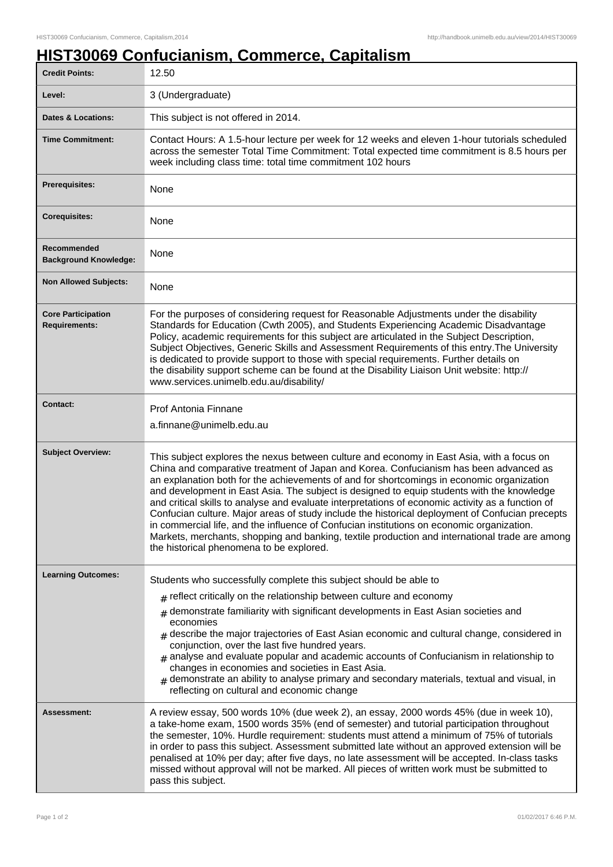## **HIST30069 Confucianism, Commerce, Capitalism**

| <b>Credit Points:</b>                             | 12.50                                                                                                                                                                                                                                                                                                                                                                                                                                                                                                                                                                                                                                                                                                                                                                                                                            |
|---------------------------------------------------|----------------------------------------------------------------------------------------------------------------------------------------------------------------------------------------------------------------------------------------------------------------------------------------------------------------------------------------------------------------------------------------------------------------------------------------------------------------------------------------------------------------------------------------------------------------------------------------------------------------------------------------------------------------------------------------------------------------------------------------------------------------------------------------------------------------------------------|
| Level:                                            | 3 (Undergraduate)                                                                                                                                                                                                                                                                                                                                                                                                                                                                                                                                                                                                                                                                                                                                                                                                                |
| <b>Dates &amp; Locations:</b>                     | This subject is not offered in 2014.                                                                                                                                                                                                                                                                                                                                                                                                                                                                                                                                                                                                                                                                                                                                                                                             |
| <b>Time Commitment:</b>                           | Contact Hours: A 1.5-hour lecture per week for 12 weeks and eleven 1-hour tutorials scheduled<br>across the semester Total Time Commitment: Total expected time commitment is 8.5 hours per<br>week including class time: total time commitment 102 hours                                                                                                                                                                                                                                                                                                                                                                                                                                                                                                                                                                        |
| <b>Prerequisites:</b>                             | None                                                                                                                                                                                                                                                                                                                                                                                                                                                                                                                                                                                                                                                                                                                                                                                                                             |
| <b>Corequisites:</b>                              | None                                                                                                                                                                                                                                                                                                                                                                                                                                                                                                                                                                                                                                                                                                                                                                                                                             |
| Recommended<br><b>Background Knowledge:</b>       | None                                                                                                                                                                                                                                                                                                                                                                                                                                                                                                                                                                                                                                                                                                                                                                                                                             |
| <b>Non Allowed Subjects:</b>                      | None                                                                                                                                                                                                                                                                                                                                                                                                                                                                                                                                                                                                                                                                                                                                                                                                                             |
| <b>Core Participation</b><br><b>Requirements:</b> | For the purposes of considering request for Reasonable Adjustments under the disability<br>Standards for Education (Cwth 2005), and Students Experiencing Academic Disadvantage<br>Policy, academic requirements for this subject are articulated in the Subject Description,<br>Subject Objectives, Generic Skills and Assessment Requirements of this entry. The University<br>is dedicated to provide support to those with special requirements. Further details on<br>the disability support scheme can be found at the Disability Liaison Unit website: http://<br>www.services.unimelb.edu.au/disability/                                                                                                                                                                                                                 |
| <b>Contact:</b>                                   | Prof Antonia Finnane<br>a.finnane@unimelb.edu.au                                                                                                                                                                                                                                                                                                                                                                                                                                                                                                                                                                                                                                                                                                                                                                                 |
| <b>Subject Overview:</b>                          | This subject explores the nexus between culture and economy in East Asia, with a focus on<br>China and comparative treatment of Japan and Korea. Confucianism has been advanced as<br>an explanation both for the achievements of and for shortcomings in economic organization<br>and development in East Asia. The subject is designed to equip students with the knowledge<br>and critical skills to analyse and evaluate interpretations of economic activity as a function of<br>Confucian culture. Major areas of study include the historical deployment of Confucian precepts<br>in commercial life, and the influence of Confucian institutions on economic organization.<br>Markets, merchants, shopping and banking, textile production and international trade are among<br>the historical phenomena to be explored. |
| <b>Learning Outcomes:</b>                         | Students who successfully complete this subject should be able to                                                                                                                                                                                                                                                                                                                                                                                                                                                                                                                                                                                                                                                                                                                                                                |
|                                                   | $#$ reflect critically on the relationship between culture and economy                                                                                                                                                                                                                                                                                                                                                                                                                                                                                                                                                                                                                                                                                                                                                           |
|                                                   | demonstrate familiarity with significant developments in East Asian societies and<br>#<br>economies<br>$_{\#}$ describe the major trajectories of East Asian economic and cultural change, considered in<br>conjunction, over the last five hundred years.<br>$_{\text{\#}}$ analyse and evaluate popular and academic accounts of Confucianism in relationship to<br>changes in economies and societies in East Asia.<br>$_{\#}$ demonstrate an ability to analyse primary and secondary materials, textual and visual, in<br>reflecting on cultural and economic change                                                                                                                                                                                                                                                        |
| Assessment:                                       | A review essay, 500 words 10% (due week 2), an essay, 2000 words 45% (due in week 10),<br>a take-home exam, 1500 words 35% (end of semester) and tutorial participation throughout<br>the semester, 10%. Hurdle requirement: students must attend a minimum of 75% of tutorials<br>in order to pass this subject. Assessment submitted late without an approved extension will be<br>penalised at 10% per day; after five days, no late assessment will be accepted. In-class tasks<br>missed without approval will not be marked. All pieces of written work must be submitted to<br>pass this subject.                                                                                                                                                                                                                         |